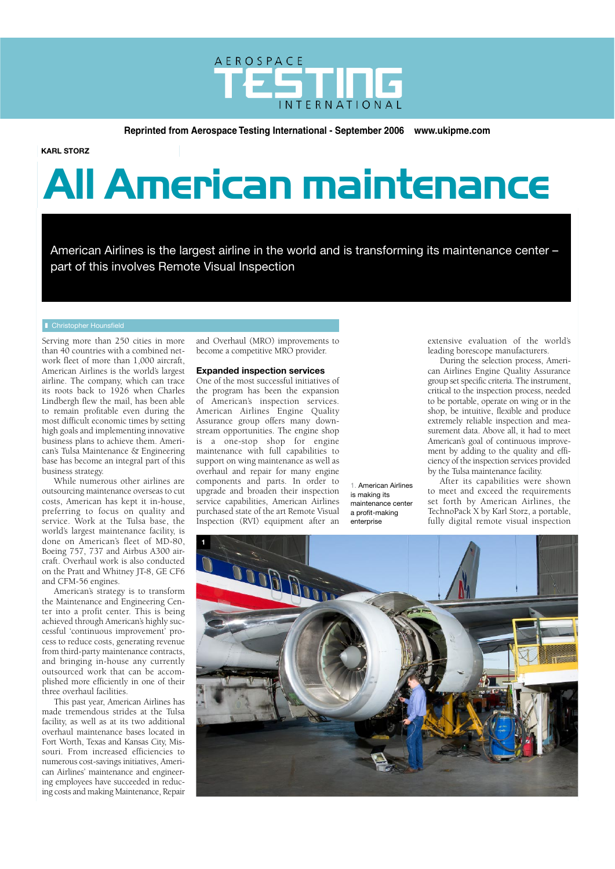

**Reprinted from Aerospace Testing International - September 2006 www.ukipme.com<br>
<b>KARL STORZ** 

**KARL STORZ**

# **All American maintenance**

American Airlines is the largest airline in the world and is transforming its maintenance center – part of this involves Remote Visual Inspection

### **Christopher Hounsfield**

Serving more than 250 cities in more than 40 countries with a combined network fleet of more than 1,000 aircraft, American Airlines is the world's largest airline. The company, which can trace its roots back to 1926 when Charles Lindbergh flew the mail, has been able to remain profitable even during the most difficult economic times by setting high goals and implementing innovative business plans to achieve them. American's Tulsa Maintenance & Engineering base has become an integral part of this business strategy.

While numerous other airlines are outsourcing maintenance overseas to cut costs, American has kept it in-house, preferring to focus on quality and service. Work at the Tulsa base, the world's largest maintenance facility, is done on American's fleet of MD-80, Boeing 757, 737 and Airbus A300 aircraft. Overhaul work is also conducted on the Pratt and Whitney JT-8, GE CF6 and CFM-56 engines.

American's strategy is to transform the Maintenance and Engineering Center into a profit center. This is being achieved through American's highly successful 'continuous improvement' process to reduce costs, generating revenue from third-party maintenance contracts, and bringing in-house any currently outsourced work that can be accomplished more efficiently in one of their three overhaul facilities.

This past year, American Airlines has made tremendous strides at the Tulsa facility, as well as at its two additional overhaul maintenance bases located in Fort Worth, Texas and Kansas City, Missouri. From increased efficiencies to numerous cost-savings initiatives, American Airlines' maintenance and engineering employees have succeeded in reducing costs and making Maintenance, Repair

and Overhaul (MRO) improvements to become a competitive MRO provider.

# **Expanded inspection services**

One of the most successful initiatives of the program has been the expansion of American's inspection services. American Airlines Engine Quality Assurance group offers many downstream opportunities. The engine shop is a one-stop shop for engine maintenance with full capabilities to support on wing maintenance as well as overhaul and repair for many engine components and parts. In order to upgrade and broaden their inspection service capabilities, American Airlines purchased state of the art Remote Visual Inspection (RVI) equipment after an

1. American Airlines is making its maintenance center a profit-making enterprise

extensive evaluation of the world's leading borescope manufacturers.

During the selection process, American Airlines Engine Quality Assurance group set specific criteria. The instrument, critical to the inspection process, needed to be portable, operate on wing or in the shop, be intuitive, flexible and produce extremely reliable inspection and measurement data. Above all, it had to meet American's goal of continuous improvement by adding to the quality and efficiency of the inspection services provided by the Tulsa maintenance facility.

After its capabilities were shown to meet and exceed the requirements set forth by American Airlines, the TechnoPack X by Karl Storz, a portable, fully digital remote visual inspection

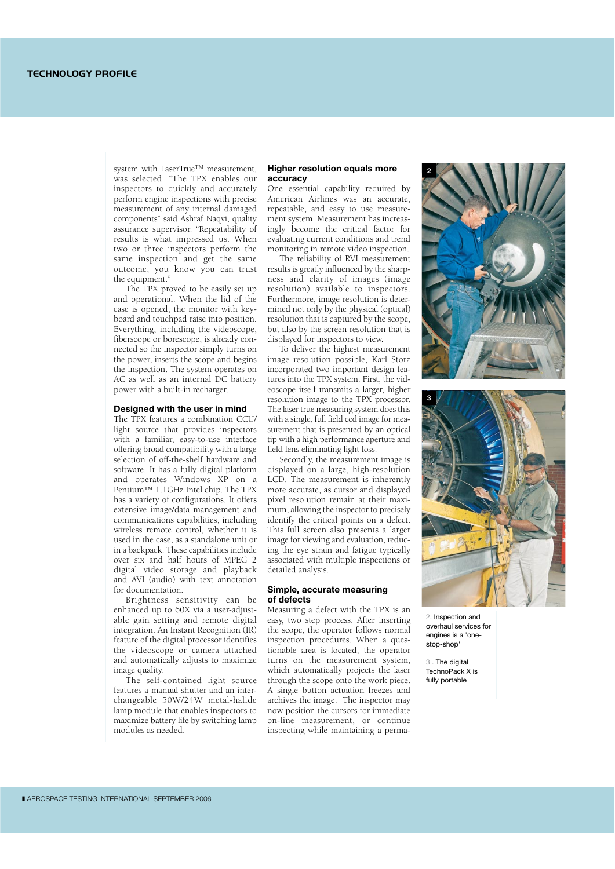system with LaserTrue<sup>TM</sup> measurement, was selected. "The TPX enables our inspectors to quickly and accurately perform engine inspections with precise measurement of any internal damaged components" said Ashraf Naqvi, quality assurance supervisor. "Repeatability of results is what impressed us. When two or three inspectors perform the same inspection and get the same outcome, you know you can trust the equipment."

The TPX proved to be easily set up and operational. When the lid of the case is opened, the monitor with keyboard and touchpad raise into position. Everything, including the videoscope, fiberscope or borescope, is already connected so the inspector simply turns on the power, inserts the scope and begins the inspection. The system operates on AC as well as an internal DC battery power with a built-in recharger.

### **Designed with the user in mind**

The TPX features a combination CCU/ light source that provides inspectors with a familiar, easy-to-use interface offering broad compatibility with a large selection of off-the-shelf hardware and software. It has a fully digital platform and operates Windows XP on a Pentium™ 1.1GHz Intel chip. The TPX has a variety of configurations. It offers extensive image/data management and communications capabilities, including wireless remote control, whether it is used in the case, as a standalone unit or in a backpack. These capabilities include over six and half hours of MPEG 2 digital video storage and playback and AVI (audio) with text annotation for documentation.

Brightness sensitivity can be enhanced up to 60X via a user-adjustable gain setting and remote digital integration. An Instant Recognition (IR) feature of the digital processor identifies the videoscope or camera attached and automatically adjusts to maximize image quality.

The self-contained light source features a manual shutter and an interchangeable 50W/24W metal-halide lamp module that enables inspectors to maximize battery life by switching lamp modules as needed.

## **Higher resolution equals more accuracy**

One essential capability required by American Airlines was an accurate, repeatable, and easy to use measurement system. Measurement has increasingly become the critical factor for evaluating current conditions and trend monitoring in remote video inspection.

The reliability of RVI measurement results is greatly influenced by the sharpness and clarity of images (image resolution) available to inspectors. Furthermore, image resolution is determined not only by the physical (optical) resolution that is captured by the scope, but also by the screen resolution that is displayed for inspectors to view.

To deliver the highest measurement image resolution possible, Karl Storz incorporated two important design features into the TPX system. First, the videoscope itself transmits a larger, higher resolution image to the TPX processor. The laser true measuring system does this with a single, full field ccd image for measurement that is presented by an optical tip with a high performance aperture and field lens eliminating light loss.

Secondly, the measurement image is displayed on a large, high-resolution LCD. The measurement is inherently more accurate, as cursor and displayed pixel resolution remain at their maximum, allowing the inspector to precisely identify the critical points on a defect. This full screen also presents a larger image for viewing and evaluation, reducing the eye strain and fatigue typically associated with multiple inspections or detailed analysis.

# **Simple, accurate measuring of defects**

Measuring a defect with the TPX is an easy, two step process. After inserting the scope, the operator follows normal inspection procedures. When a questionable area is located, the operator turns on the measurement system, which automatically projects the laser through the scope onto the work piece. A single button actuation freezes and archives the image. The inspector may now position the cursors for immediate on-line measurement, or continue inspecting while maintaining a perma-





2. Inspection and overhaul services for engines is a 'onestop-shop'

3 . The digital TechnoPack X is fully portable